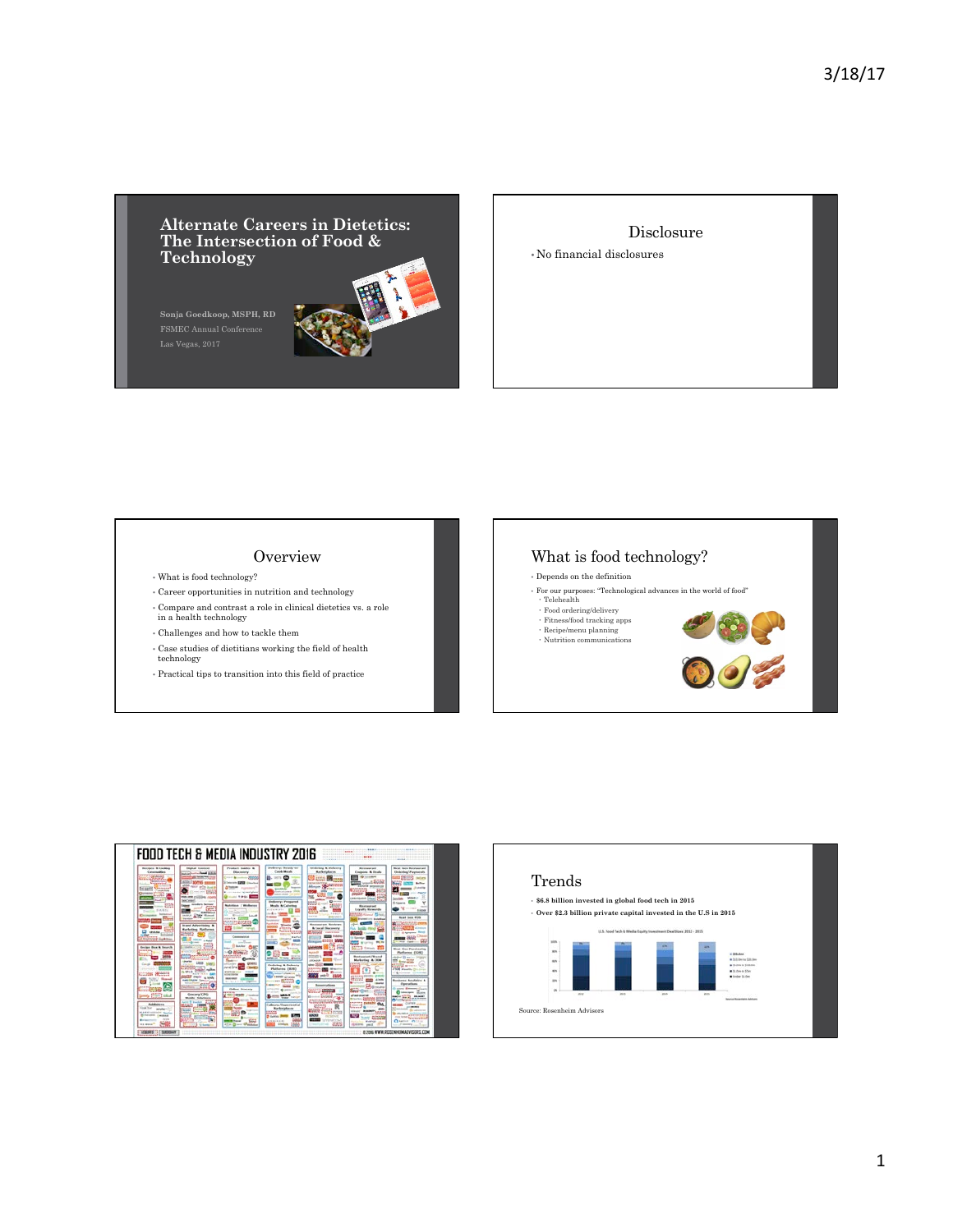# **Alternate Careers in Dietetics: The Intersection of Food & Technology**

**Sonja Goedkoop, MSPH, RD** 

Disclosure • No financial disclosures

## **Overview**

- What is food technology?
- Career opportunities in nutrition and technology
- Compare and contrast a role in clinical dietetics vs. a role in a health technology
- Challenges and how to tackle them
- Case studies of dietitians working the field of health technology
- Practical tips to transition into this field of practice

## What is food technology?

- Depends on the definition
- For our purposes: "Technological advances in the world of food"<br>
 Telehealth <br>
 Fitness/food tracking apps<br>
 Recipe/menu planning
- 
- $\cdot$  Nutrition communications





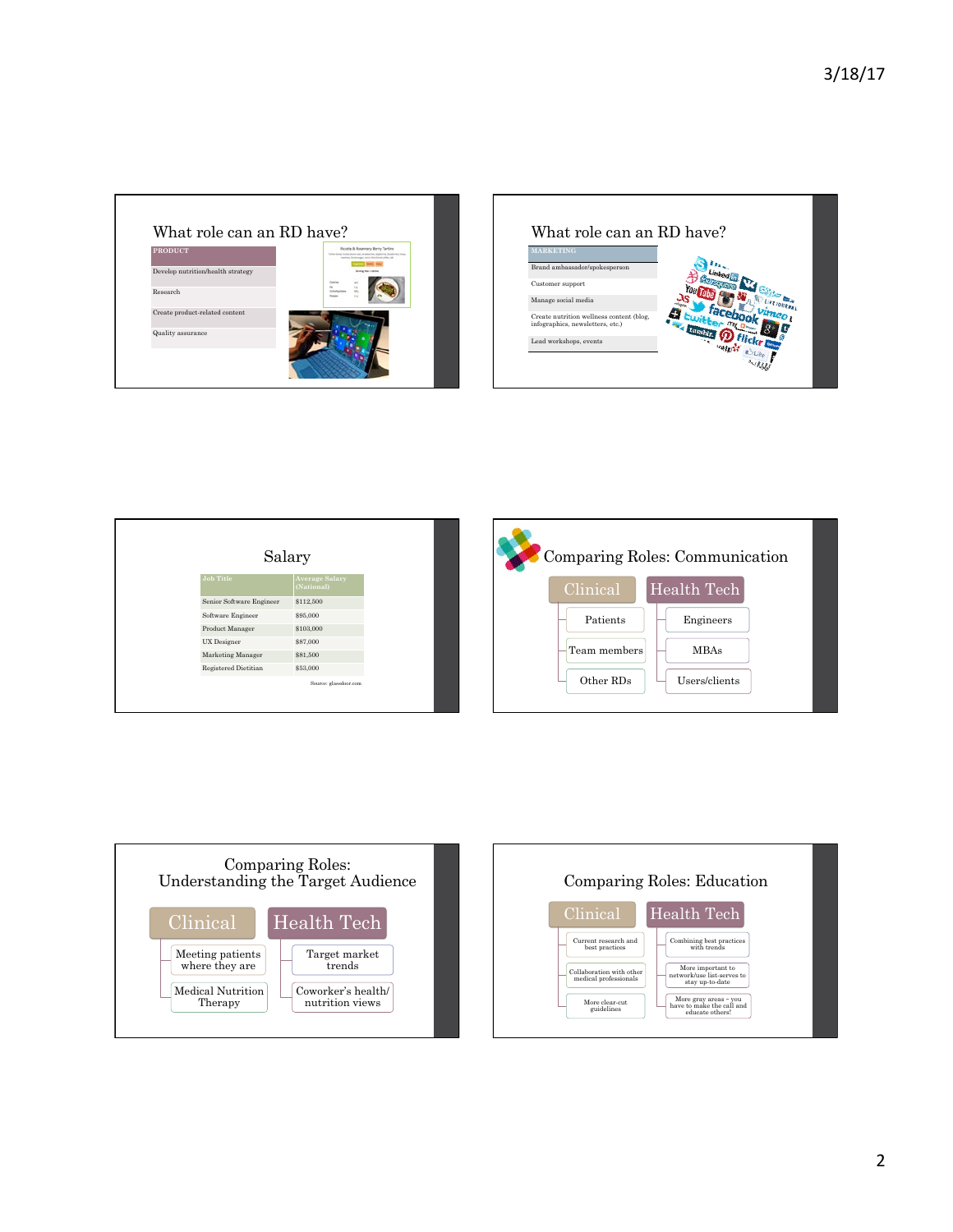



| Salary                   |                                     |  |              | Comparing Roles: Communication |
|--------------------------|-------------------------------------|--|--------------|--------------------------------|
| <b>Job Title</b>         | <b>Average Salary</b><br>(National) |  | Clinical     | Health Tech                    |
| Senior Software Engineer | \$112,500                           |  |              |                                |
| Software Engineer        | \$95,000                            |  | Patients     | Engineers                      |
| Product Manager          | \$103,000                           |  |              |                                |
| UX Designer              | \$87,000                            |  |              |                                |
| Marketing Manager        | \$81,500                            |  | Team members | <b>MBAs</b>                    |
| Registered Dietitian     | \$53,000                            |  |              |                                |
|                          | Source: glassdoor.com               |  | Other RDs    | Users/clients                  |

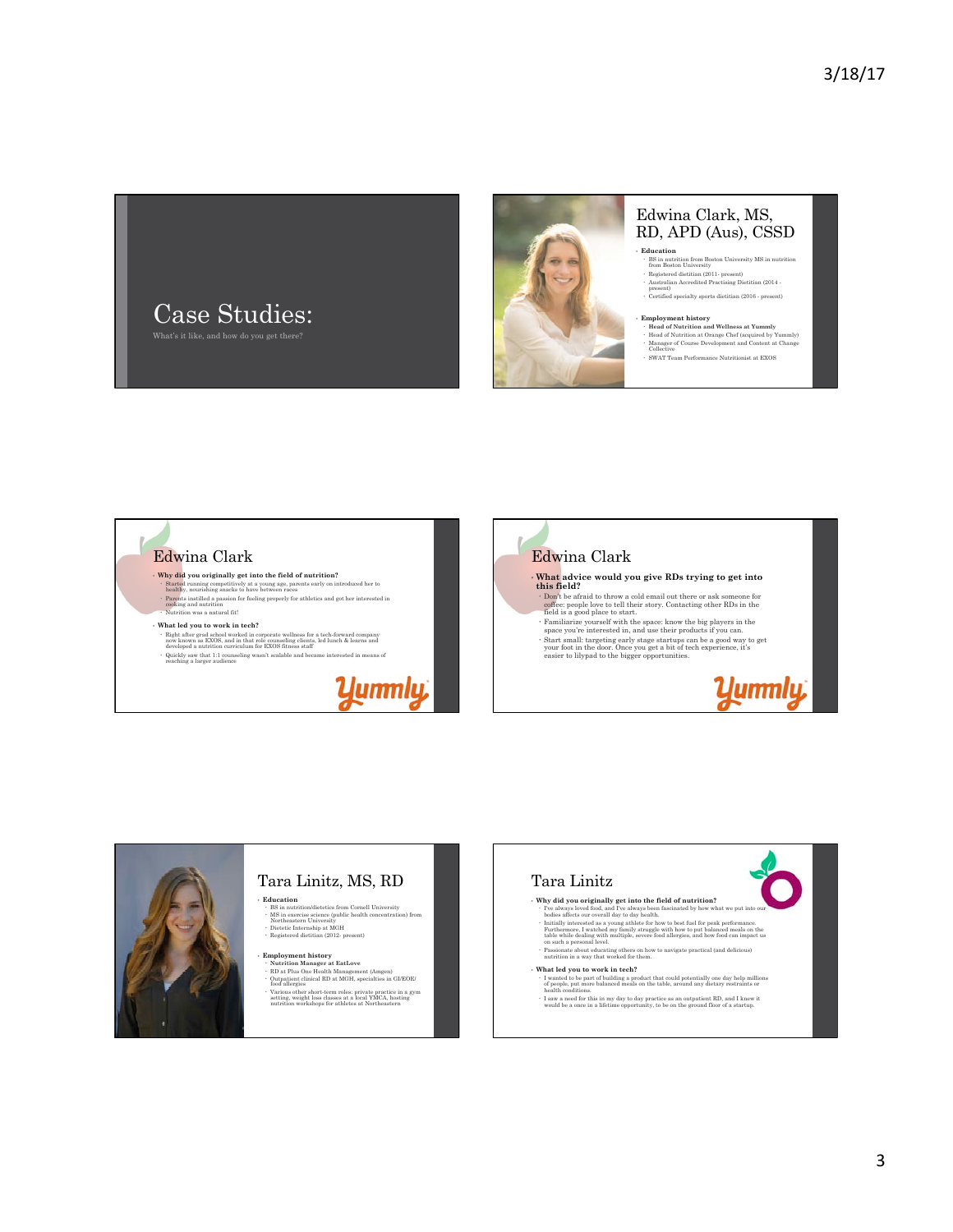



## Edwina Clark, MS, RD, APD (Aus), CSSD

**Education**<br> **BS** in nutrition from Boston University MS in nutrition<br>
from Boston University Registered dietitian (2011- present) Australian Accredited Practising Dietitian (2014 - present) Certified specialty sports dietitian (2016 - present)

**• Employment history<br>
• Head of Nutrition at Orange Chef (acquired by Yummly)<br>
• Manager of Course Development and Content at Change<br>
Collective<br>
Collective** SWAT Team Performance Nutritionist at EXOS



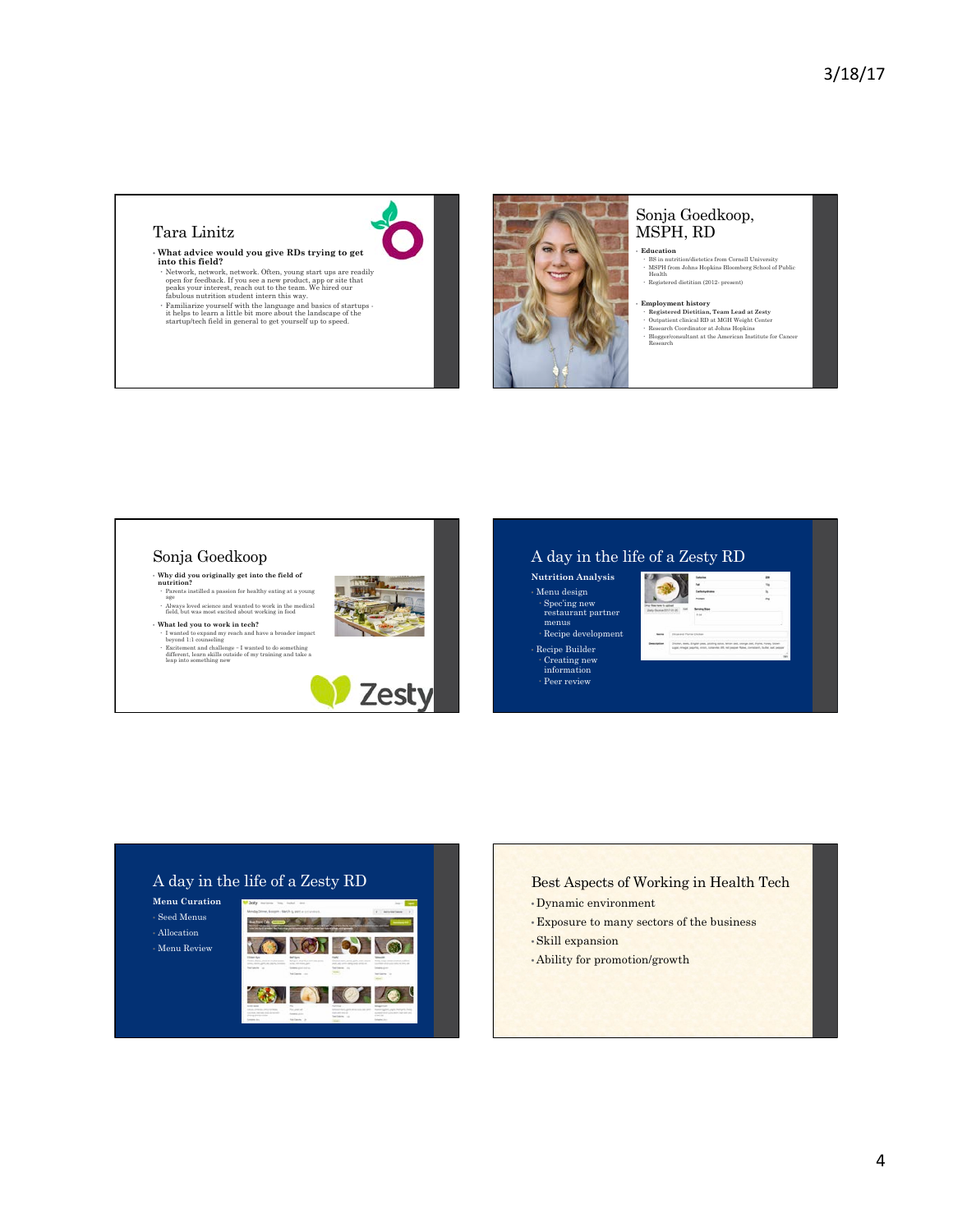## Tara Linitz

#### • **What advice would you give RDs trying to get into this field?**

- Network, network, network. Often, young start ups are readily<br>open for feedback. If you see a new product, app or site that<br>peaks your interest, reach out to the team. We hired our<br>fabulous nutrition student intern this
- 
- 



#### Sonja Goedkoop, MSPH, RD

- **Education**  BS in nutrition/dietetics from Cornell University MSPH from Johns Hopkins Bloomberg School of Public Health Registered dietitian (2012- present)
	-
- Employment history<br>
 Registered Deiettian, Team Lead at Zesty<br>
 Outpatient clinical RD at MGH Weight Center<br>
 Research Coordinator at Johns Hopkins<br>
 BloggerCoonsultant at the American Institute for Cancer<br>
Research
- 

#### A day in the life of a Zesty RD Sonja Goedkoop **Nutrition Analysis**  • **Why did you originally get into the field of nutrition?**  Parents instilled a passion for healthy eating at a young age • Menu design Spec'ing new restaurant partner Always loved science and wanted to work in the medical field, but was most excited about working in food • **What led you to work in tech?**  menus Recipe development I wanted to expand my reach and have a broader impact beyond 1:1 counseling Excitement and challenge – I wanted to do something different, learn skills outside of my training and take a leap into something new • Recipe Builder Creating new information Peer review **Zesty**

## A day in the life of a Zesty RD

**Menu Curation**  • Seed Menus • Allocation • Menu Review



### Best Aspects of Working in Health Tech

- Dynamic environment
- Exposure to many sectors of the business
- Skill expansion
- Ability for promotion/growth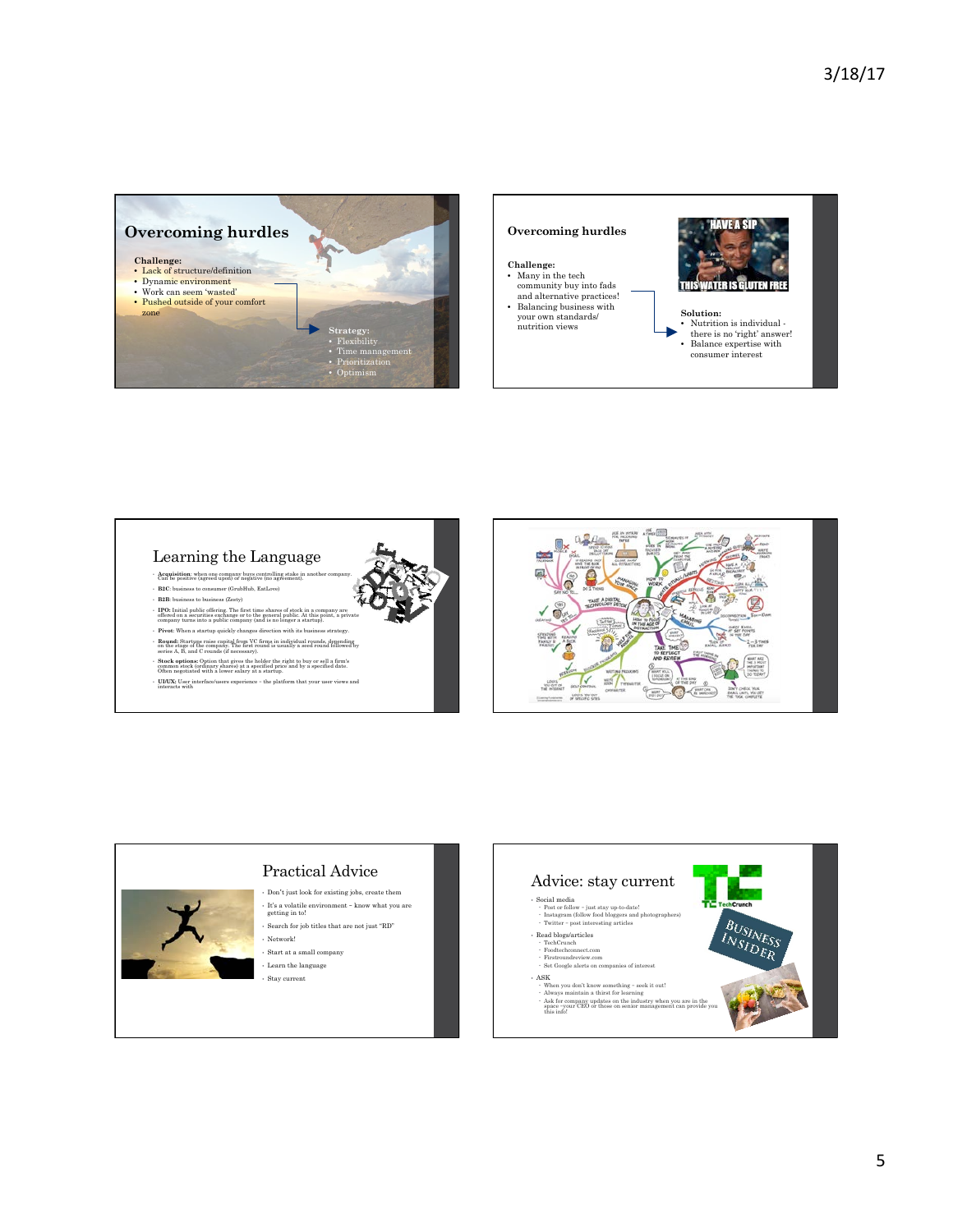



### Learning the Language

- **Acquisition**: when one company buys controlling stake in Can be positive (agreed upon) or negative (no agreement).
- **B2C**: business to consumer (GrubHub, EatLove) • **B2B**: business to business (Zesty)
- 
- IPO: Initial public offering. The first time shares of stock in a company are offered on a securities exchange or to the general public. At this point, a private company turns into a public company (and is no longer a st
- 
- **Round:** Startups raise capital from VC firms in individual rounds, depending on the stage of the company. The first round is usually a seed round followed by series A, B, and C rounds (if necessary).
- **Stock options:** Option that gives the holder the right to buy or sell a firm's common stock (ordinary shares) at a specified price and by a specified date. Often negotiated with a lower salary at a startup.
- **UI/UX:** User interface/users experience the platform that your user views and interacts with



## Practical Advice

- Don't just look for existing jobs, create them
- It's a volatile environment know what you are getting in to! • Search for job titles that are not just "RD"
- Network!
- Start at a small company
- Learn the language • Stay current

Advice: stay current • Social media Post or follow – just stay up-to-date! Instagram (follow food bloggers and photographers) Twitter – post interesting articles **BUSINESS INSINES** • Read blogs/articles<br>• TechCrunch<br>• Foodtechconnect.com<br>• Firstroundreview.com<br>• Set Google alerts on companies of interest • ASK when you don't know something – seek it out!<br>
Always maintain a thirst for learning<br>  $\alpha$  Ask for company updates on the industry when you are in the<br>
space –your CEO or those on senior management can provide you<br>
this inf